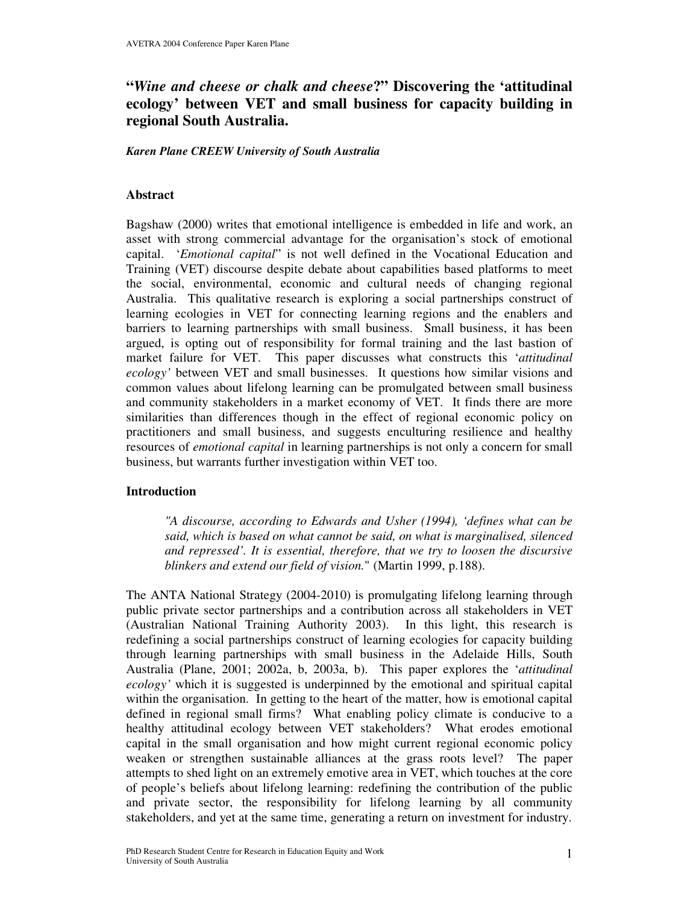# **"***Wine and cheese or chalk and cheese***?" Discovering the 'attitudinal ecology' between VET and small business for capacity building in regional South Australia.**

*Karen Plane CREEW University of South Australia*

### **Abstract**

Bagshaw (2000) writes that emotional intelligence is embedded in life and work, an asset with strong commercial advantage for the organisation's stock of emotional capital. '*Emotional capital*" is not well defined in the Vocational Education and Training (VET) discourse despite debate about capabilities based platforms to meet the social, environmental, economic and cultural needs of changing regional Australia. This qualitative research is exploring a social partnerships construct of learning ecologies in VET for connecting learning regions and the enablers and barriers to learning partnerships with small business. Small business, it has been argued, is opting out of responsibility for formal training and the last bastion of market failure for VET. This paper discusses what constructs this '*attitudinal ecology'* between VET and small businesses. It questions how similar visions and common values about lifelong learning can be promulgated between small business and community stakeholders in a market economy of VET. It finds there are more similarities than differences though in the effect of regional economic policy on practitioners and small business, and suggests enculturing resilience and healthy resources of *emotional capital* in learning partnerships is not only a concern for small business, but warrants further investigation within VET too.

### **Introduction**

*"A discourse, according to Edwards and Usher (1994), 'defines what can be said, which is based on what cannot be said, on what is marginalised, silenced and repressed'. It is essential, therefore, that we try to loosen the discursive blinkers and extend our field of vision.*" (Martin 1999, p.188).

The ANTA National Strategy (2004-2010) is promulgating lifelong learning through public private sector partnerships and a contribution across all stakeholders in VET (Australian National Training Authority 2003). In this light, this research is redefining a social partnerships construct of learning ecologies for capacity building through learning partnerships with small business in the Adelaide Hills, South Australia (Plane, 2001; 2002a, b, 2003a, b). This paper explores the '*attitudinal ecology'* which it is suggested is underpinned by the emotional and spiritual capital within the organisation. In getting to the heart of the matter, how is emotional capital defined in regional small firms? What enabling policy climate is conducive to a healthy attitudinal ecology between VET stakeholders? What erodes emotional capital in the small organisation and how might current regional economic policy weaken or strengthen sustainable alliances at the grass roots level? The paper attempts to shed light on an extremely emotive area in VET, which touches at the core of people's beliefs about lifelong learning: redefining the contribution of the public and private sector, the responsibility for lifelong learning by all community stakeholders, and yet at the same time, generating a return on investment for industry.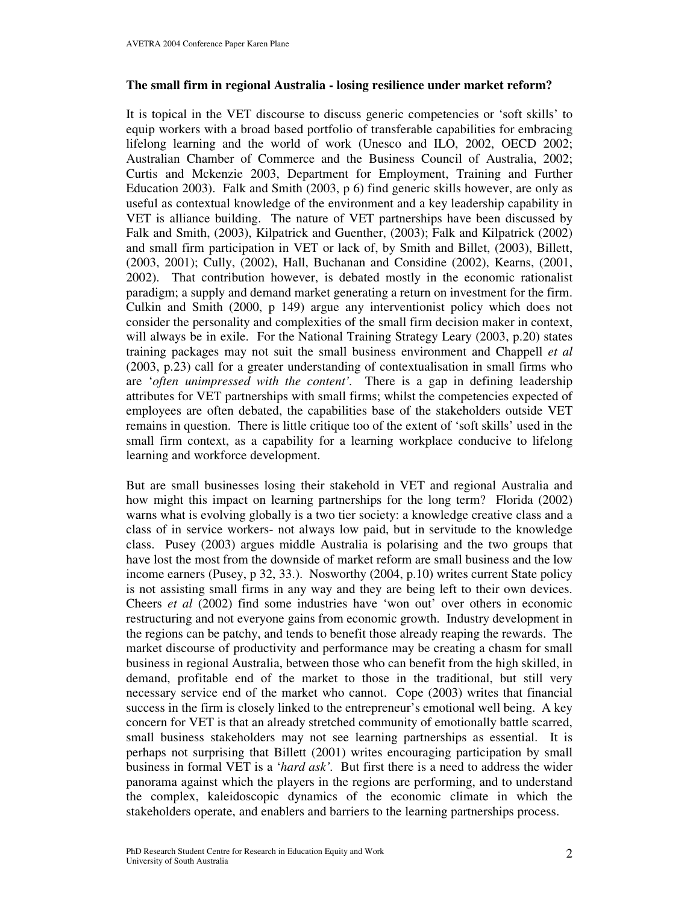### **The small firm in regional Australia - losing resilience under market reform?**

It is topical in the VET discourse to discuss generic competencies or 'soft skills' to equip workers with a broad based portfolio of transferable capabilities for embracing lifelong learning and the world of work (Unesco and ILO, 2002, OECD 2002; Australian Chamber of Commerce and the Business Council of Australia, 2002; Curtis and Mckenzie 2003, Department for Employment, Training and Further Education 2003). Falk and Smith (2003, p 6) find generic skills however, are only as useful as contextual knowledge of the environment and a key leadership capability in VET is alliance building. The nature of VET partnerships have been discussed by Falk and Smith, (2003), Kilpatrick and Guenther, (2003); Falk and Kilpatrick (2002) and small firm participation in VET or lack of, by Smith and Billet, (2003), Billett, (2003, 2001); Cully, (2002), Hall, Buchanan and Considine (2002), Kearns, (2001, 2002). That contribution however, is debated mostly in the economic rationalist paradigm; a supply and demand market generating a return on investment for the firm. Culkin and Smith (2000, p 149) argue any interventionist policy which does not consider the personality and complexities of the small firm decision maker in context, will always be in exile. For the National Training Strategy Leary (2003, p.20) states training packages may not suit the small business environment and Chappell *et al* (2003, p.23) call for a greater understanding of contextualisation in small firms who are '*often unimpressed with the content'.* There is a gap in defining leadership attributes for VET partnerships with small firms; whilst the competencies expected of employees are often debated, the capabilities base of the stakeholders outside VET remains in question. There is little critique too of the extent of 'soft skills' used in the small firm context, as a capability for a learning workplace conducive to lifelong learning and workforce development.

But are small businesses losing their stakehold in VET and regional Australia and how might this impact on learning partnerships for the long term? Florida (2002) warns what is evolving globally is a two tier society: a knowledge creative class and a class of in service workers- not always low paid, but in servitude to the knowledge class. Pusey (2003) argues middle Australia is polarising and the two groups that have lost the most from the downside of market reform are small business and the low income earners (Pusey, p 32, 33.). Nosworthy (2004, p.10) writes current State policy is not assisting small firms in any way and they are being left to their own devices. Cheers *et al* (2002) find some industries have 'won out' over others in economic restructuring and not everyone gains from economic growth. Industry development in the regions can be patchy, and tends to benefit those already reaping the rewards. The market discourse of productivity and performance may be creating a chasm for small business in regional Australia, between those who can benefit from the high skilled, in demand, profitable end of the market to those in the traditional, but still very necessary service end of the market who cannot. Cope (2003) writes that financial success in the firm is closely linked to the entrepreneur's emotional well being. A key concern for VET is that an already stretched community of emotionally battle scarred, small business stakeholders may not see learning partnerships as essential. It is perhaps not surprising that Billett (2001) writes encouraging participation by small business in formal VET is a '*hard ask'.* But first there is a need to address the wider panorama against which the players in the regions are performing, and to understand the complex, kaleidoscopic dynamics of the economic climate in which the stakeholders operate, and enablers and barriers to the learning partnerships process.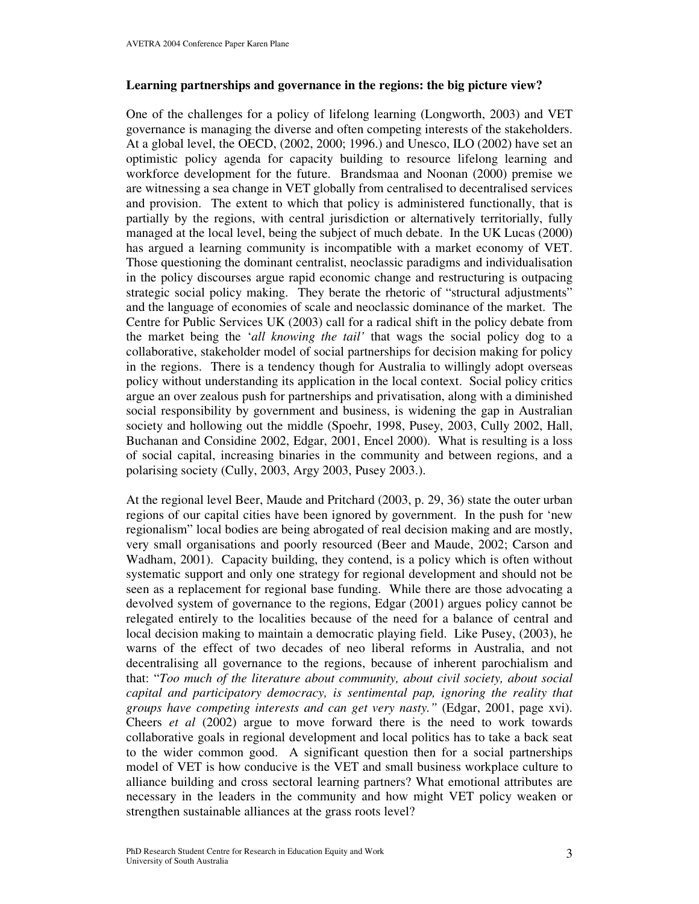### **Learning partnerships and governance in the regions: the big picture view?**

One of the challenges for a policy of lifelong learning (Longworth, 2003) and VET governance is managing the diverse and often competing interests of the stakeholders. At a global level, the OECD, (2002, 2000; 1996.) and Unesco, ILO (2002) have set an optimistic policy agenda for capacity building to resource lifelong learning and workforce development for the future. Brandsmaa and Noonan (2000) premise we are witnessing a sea change in VET globally from centralised to decentralised services and provision. The extent to which that policy is administered functionally, that is partially by the regions, with central jurisdiction or alternatively territorially, fully managed at the local level, being the subject of much debate. In the UK Lucas (2000) has argued a learning community is incompatible with a market economy of VET. Those questioning the dominant centralist, neoclassic paradigms and individualisation in the policy discourses argue rapid economic change and restructuring is outpacing strategic social policy making. They berate the rhetoric of "structural adjustments" and the language of economies of scale and neoclassic dominance of the market. The Centre for Public Services UK (2003) call for a radical shift in the policy debate from the market being the '*all knowing the tail'* that wags the social policy dog to a collaborative, stakeholder model of social partnerships for decision making for policy in the regions. There is a tendency though for Australia to willingly adopt overseas policy without understanding its application in the local context. Social policy critics argue an over zealous push for partnerships and privatisation, along with a diminished social responsibility by government and business, is widening the gap in Australian society and hollowing out the middle (Spoehr, 1998, Pusey, 2003, Cully 2002, Hall, Buchanan and Considine 2002, Edgar, 2001, Encel 2000). What is resulting is a loss of social capital, increasing binaries in the community and between regions, and a polarising society (Cully, 2003, Argy 2003, Pusey 2003.).

At the regional level Beer, Maude and Pritchard (2003, p. 29, 36) state the outer urban regions of our capital cities have been ignored by government. In the push for 'new regionalism" local bodies are being abrogated of real decision making and are mostly, very small organisations and poorly resourced (Beer and Maude, 2002; Carson and Wadham, 2001). Capacity building, they contend, is a policy which is often without systematic support and only one strategy for regional development and should not be seen as a replacement for regional base funding. While there are those advocating a devolved system of governance to the regions, Edgar (2001) argues policy cannot be relegated entirely to the localities because of the need for a balance of central and local decision making to maintain a democratic playing field. Like Pusey, (2003), he warns of the effect of two decades of neo liberal reforms in Australia, and not decentralising all governance to the regions, because of inherent parochialism and that: "*Too much of the literature about community, about civil society, about social capital and participatory democracy, is sentimental pap, ignoring the reality that groups have competing interests and can get very nasty."* (Edgar, 2001, page xvi). Cheers *et al* (2002) argue to move forward there is the need to work towards collaborative goals in regional development and local politics has to take a back seat to the wider common good. A significant question then for a social partnerships model of VET is how conducive is the VET and small business workplace culture to alliance building and cross sectoral learning partners? What emotional attributes are necessary in the leaders in the community and how might VET policy weaken or strengthen sustainable alliances at the grass roots level?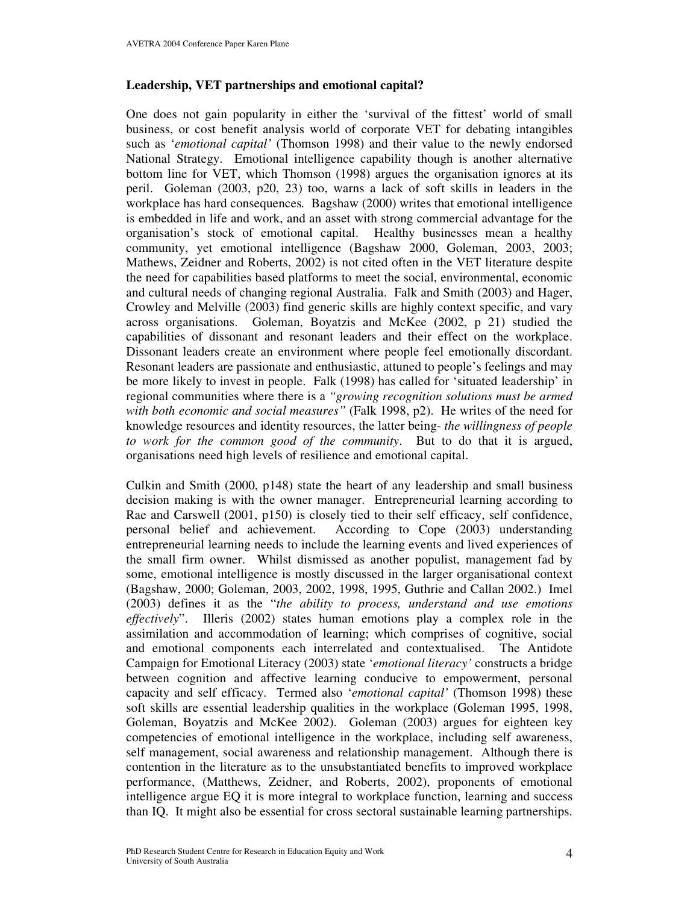### **Leadership, VET partnerships and emotional capital?**

One does not gain popularity in either the 'survival of the fittest' world of small business, or cost benefit analysis world of corporate VET for debating intangibles such as '*emotional capital'* (Thomson 1998) and their value to the newly endorsed National Strategy. Emotional intelligence capability though is another alternative bottom line for VET, which Thomson (1998) argues the organisation ignores at its peril. Goleman (2003, p20, 23) too, warns a lack of soft skills in leaders in the workplace has hard consequences*.* Bagshaw (2000) writes that emotional intelligence is embedded in life and work, and an asset with strong commercial advantage for the organisation's stock of emotional capital. Healthy businesses mean a healthy community, yet emotional intelligence (Bagshaw 2000, Goleman, 2003, 2003; Mathews, Zeidner and Roberts, 2002) is not cited often in the VET literature despite the need for capabilities based platforms to meet the social, environmental, economic and cultural needs of changing regional Australia. Falk and Smith (2003) and Hager, Crowley and Melville (2003) find generic skills are highly context specific, and vary across organisations. Goleman, Boyatzis and McKee (2002, p 21) studied the capabilities of dissonant and resonant leaders and their effect on the workplace. Dissonant leaders create an environment where people feel emotionally discordant. Resonant leaders are passionate and enthusiastic, attuned to people's feelings and may be more likely to invest in people. Falk (1998) has called for 'situated leadership' in regional communities where there is a *"growing recognition solutions must be armed with both economic and social measures"* (Falk 1998, p2). He writes of the need for knowledge resources and identity resources, the latter being- *the willingness of people to work for the common good of the community*. But to do that it is argued, organisations need high levels of resilience and emotional capital.

Culkin and Smith (2000, p148) state the heart of any leadership and small business decision making is with the owner manager. Entrepreneurial learning according to Rae and Carswell (2001, p150) is closely tied to their self efficacy, self confidence, personal belief and achievement. According to Cope (2003) understanding entrepreneurial learning needs to include the learning events and lived experiences of the small firm owner. Whilst dismissed as another populist, management fad by some, emotional intelligence is mostly discussed in the larger organisational context (Bagshaw, 2000; Goleman, 2003, 2002, 1998, 1995, Guthrie and Callan 2002.) Imel (2003) defines it as the "*the ability to process, understand and use emotions effectively*". Illeris (2002) states human emotions play a complex role in the assimilation and accommodation of learning; which comprises of cognitive, social and emotional components each interrelated and contextualised. The Antidote Campaign for Emotional Literacy (2003) state '*emotional literacy'* constructs a bridge between cognition and affective learning conducive to empowerment, personal capacity and self efficacy. Termed also '*emotional capital'* (Thomson 1998) these soft skills are essential leadership qualities in the workplace (Goleman 1995, 1998, Goleman, Boyatzis and McKee 2002). Goleman (2003) argues for eighteen key competencies of emotional intelligence in the workplace, including self awareness, self management, social awareness and relationship management. Although there is contention in the literature as to the unsubstantiated benefits to improved workplace performance, (Matthews, Zeidner, and Roberts, 2002), proponents of emotional intelligence argue EQ it is more integral to workplace function, learning and success than IQ. It might also be essential for cross sectoral sustainable learning partnerships.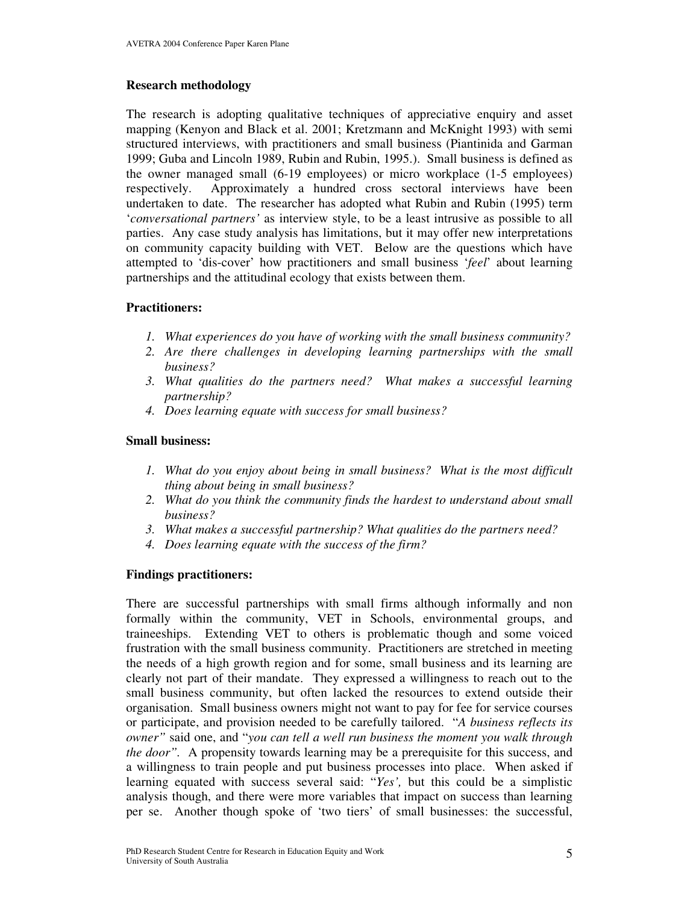### **Research methodology**

The research is adopting qualitative techniques of appreciative enquiry and asset mapping (Kenyon and Black et al. 2001; Kretzmann and McKnight 1993) with semi structured interviews, with practitioners and small business (Piantinida and Garman 1999; Guba and Lincoln 1989, Rubin and Rubin, 1995.). Small business is defined as the owner managed small (6-19 employees) or micro workplace (1-5 employees) respectively. Approximately a hundred cross sectoral interviews have been undertaken to date. The researcher has adopted what Rubin and Rubin (1995) term '*conversational partners'* as interview style, to be a least intrusive as possible to all parties. Any case study analysis has limitations, but it may offer new interpretations on community capacity building with VET. Below are the questions which have attempted to 'dis-cover' how practitioners and small business '*feel*' about learning partnerships and the attitudinal ecology that exists between them.

### **Practitioners:**

- *1. What experiences do you have of working with the small business community?*
- *2. Are there challenges in developing learning partnerships with the small business?*
- *3. What qualities do the partners need? What makes a successful learning partnership?*
- *4. Does learning equate with success for small business?*

### **Small business:**

- *1. What do you enjoy about being in small business? What is the most difficult thing about being in small business?*
- *2. What do you think the community finds the hardest to understand about small business?*
- *3. What makes a successful partnership? What qualities do the partners need?*
- *4. Does learning equate with the success of the firm?*

## **Findings practitioners:**

There are successful partnerships with small firms although informally and non formally within the community, VET in Schools, environmental groups, and traineeships. Extending VET to others is problematic though and some voiced frustration with the small business community. Practitioners are stretched in meeting the needs of a high growth region and for some, small business and its learning are clearly not part of their mandate. They expressed a willingness to reach out to the small business community, but often lacked the resources to extend outside their organisation. Small business owners might not want to pay for fee for service courses or participate, and provision needed to be carefully tailored. "*A business reflects its owner"* said one, and "*you can tell a well run business the moment you walk through the door".* A propensity towards learning may be a prerequisite for this success, and a willingness to train people and put business processes into place. When asked if learning equated with success several said: "*Yes',* but this could be a simplistic analysis though, and there were more variables that impact on success than learning per se. Another though spoke of 'two tiers' of small businesses: the successful,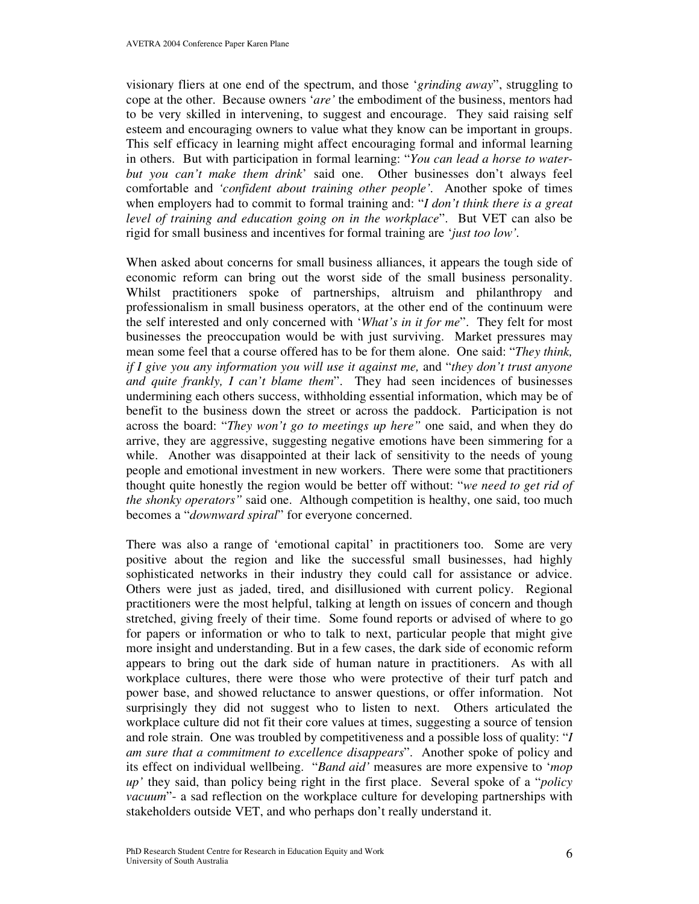visionary fliers at one end of the spectrum, and those '*grinding away*", struggling to cope at the other. Because owners '*are'* the embodiment of the business, mentors had to be very skilled in intervening, to suggest and encourage. They said raising self esteem and encouraging owners to value what they know can be important in groups. This self efficacy in learning might affect encouraging formal and informal learning in others. But with participation in formal learning: "*You can lead a horse to waterbut you can't make them drink*' said one. Other businesses don't always feel comfortable and *'confident about training other people'.* Another spoke of times when employers had to commit to formal training and: "*I don't think there is a great level of training and education going on in the workplace*". But VET can also be rigid for small business and incentives for formal training are '*just too low'.*

When asked about concerns for small business alliances, it appears the tough side of economic reform can bring out the worst side of the small business personality. Whilst practitioners spoke of partnerships, altruism and philanthropy and professionalism in small business operators, at the other end of the continuum were the self interested and only concerned with '*What's in it for me*". They felt for most businesses the preoccupation would be with just surviving. Market pressures may mean some feel that a course offered has to be for them alone. One said: "*They think, if I give you any information you will use it against me,* and "*they don't trust anyone and quite frankly, I can't blame them*". They had seen incidences of businesses undermining each others success, withholding essential information, which may be of benefit to the business down the street or across the paddock. Participation is not across the board: "*They won't go to meetings up here"* one said, and when they do arrive, they are aggressive, suggesting negative emotions have been simmering for a while. Another was disappointed at their lack of sensitivity to the needs of young people and emotional investment in new workers. There were some that practitioners thought quite honestly the region would be better off without: "*we need to get rid of the shonky operators"* said one. Although competition is healthy, one said, too much becomes a "*downward spiral*" for everyone concerned.

There was also a range of 'emotional capital' in practitioners too. Some are very positive about the region and like the successful small businesses, had highly sophisticated networks in their industry they could call for assistance or advice. Others were just as jaded, tired, and disillusioned with current policy. Regional practitioners were the most helpful, talking at length on issues of concern and though stretched, giving freely of their time. Some found reports or advised of where to go for papers or information or who to talk to next, particular people that might give more insight and understanding. But in a few cases, the dark side of economic reform appears to bring out the dark side of human nature in practitioners. As with all workplace cultures, there were those who were protective of their turf patch and power base, and showed reluctance to answer questions, or offer information. Not surprisingly they did not suggest who to listen to next. Others articulated the workplace culture did not fit their core values at times, suggesting a source of tension and role strain. One was troubled by competitiveness and a possible loss of quality: "*I am sure that a commitment to excellence disappears*". Another spoke of policy and its effect on individual wellbeing. "*Band aid'* measures are more expensive to '*mop up'* they said, than policy being right in the first place. Several spoke of a "*policy vacuum*"- a sad reflection on the workplace culture for developing partnerships with stakeholders outside VET, and who perhaps don't really understand it.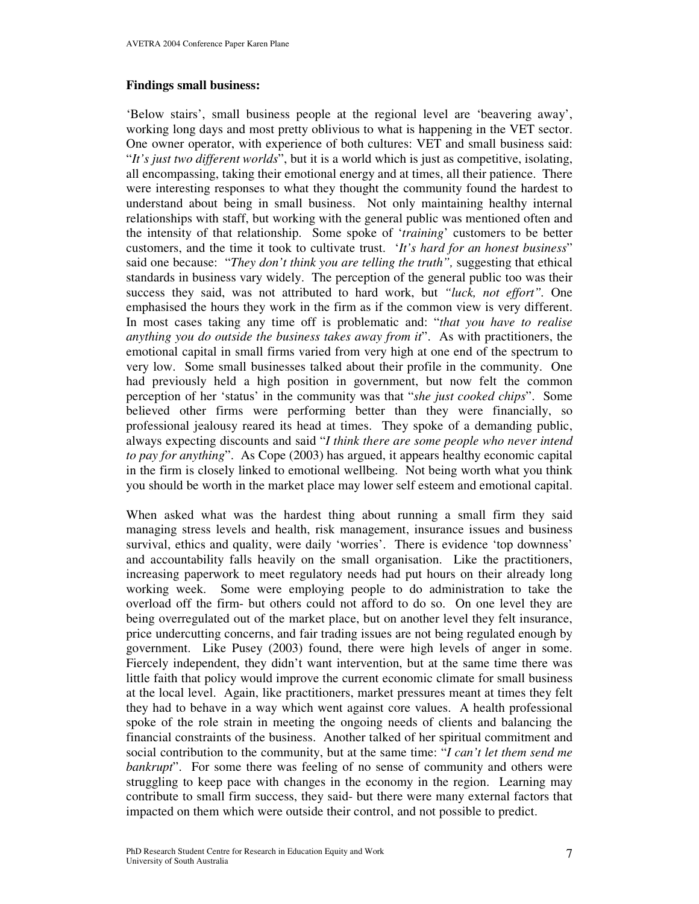### **Findings small business:**

'Below stairs', small business people at the regional level are 'beavering away', working long days and most pretty oblivious to what is happening in the VET sector. One owner operator, with experience of both cultures: VET and small business said: "*It's just two different worlds*", but it is a world which is just as competitive, isolating, all encompassing, taking their emotional energy and at times, all their patience. There were interesting responses to what they thought the community found the hardest to understand about being in small business. Not only maintaining healthy internal relationships with staff, but working with the general public was mentioned often and the intensity of that relationship. Some spoke of '*training*' customers to be better customers, and the time it took to cultivate trust. '*It's hard for an honest business*" said one because: "*They don't think you are telling the truth",* suggesting that ethical standards in business vary widely. The perception of the general public too was their success they said, was not attributed to hard work, but *"luck, not effort".* One emphasised the hours they work in the firm as if the common view is very different. In most cases taking any time off is problematic and: "*that you have to realise anything you do outside the business takes away from it*". As with practitioners, the emotional capital in small firms varied from very high at one end of the spectrum to very low. Some small businesses talked about their profile in the community. One had previously held a high position in government, but now felt the common perception of her 'status' in the community was that "*she just cooked chips*". Some believed other firms were performing better than they were financially, so professional jealousy reared its head at times. They spoke of a demanding public, always expecting discounts and said "*I think there are some people who never intend to pay for anything*". As Cope (2003) has argued, it appears healthy economic capital in the firm is closely linked to emotional wellbeing. Not being worth what you think you should be worth in the market place may lower self esteem and emotional capital.

When asked what was the hardest thing about running a small firm they said managing stress levels and health, risk management, insurance issues and business survival, ethics and quality, were daily 'worries'. There is evidence 'top downness' and accountability falls heavily on the small organisation. Like the practitioners, increasing paperwork to meet regulatory needs had put hours on their already long working week. Some were employing people to do administration to take the overload off the firm- but others could not afford to do so. On one level they are being overregulated out of the market place, but on another level they felt insurance, price undercutting concerns, and fair trading issues are not being regulated enough by government. Like Pusey (2003) found, there were high levels of anger in some. Fiercely independent, they didn't want intervention, but at the same time there was little faith that policy would improve the current economic climate for small business at the local level. Again, like practitioners, market pressures meant at times they felt they had to behave in a way which went against core values. A health professional spoke of the role strain in meeting the ongoing needs of clients and balancing the financial constraints of the business. Another talked of her spiritual commitment and social contribution to the community, but at the same time: "*I can't let them send me bankrupt*". For some there was feeling of no sense of community and others were struggling to keep pace with changes in the economy in the region. Learning may contribute to small firm success, they said- but there were many external factors that impacted on them which were outside their control, and not possible to predict.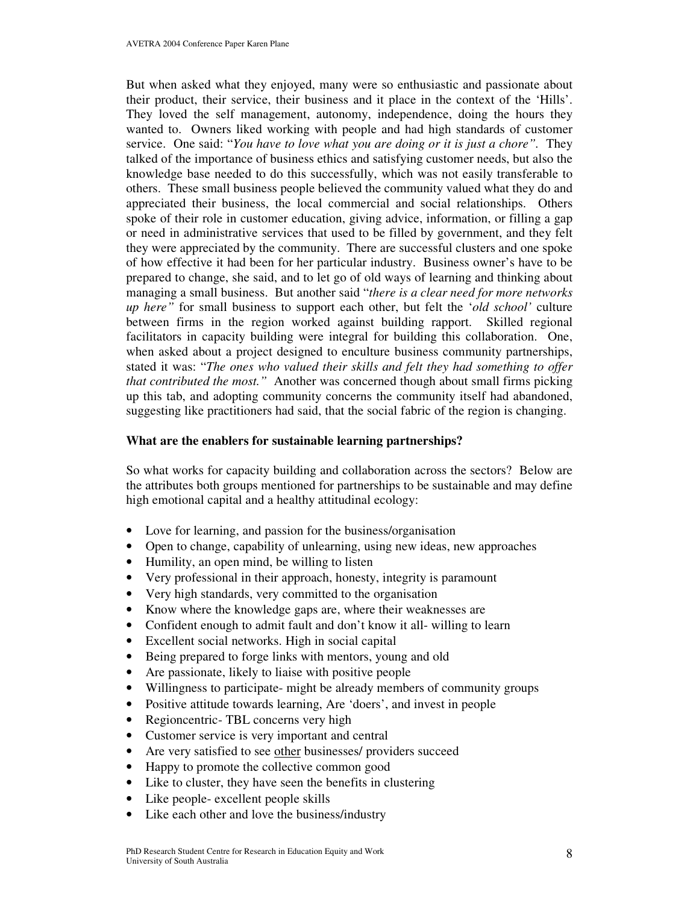But when asked what they enjoyed, many were so enthusiastic and passionate about their product, their service, their business and it place in the context of the 'Hills'. They loved the self management, autonomy, independence, doing the hours they wanted to. Owners liked working with people and had high standards of customer service. One said: "*You have to love what you are doing or it is just a chore".* They talked of the importance of business ethics and satisfying customer needs, but also the knowledge base needed to do this successfully, which was not easily transferable to others. These small business people believed the community valued what they do and appreciated their business, the local commercial and social relationships. Others spoke of their role in customer education, giving advice, information, or filling a gap or need in administrative services that used to be filled by government, and they felt they were appreciated by the community. There are successful clusters and one spoke of how effective it had been for her particular industry. Business owner's have to be prepared to change, she said, and to let go of old ways of learning and thinking about managing a small business. But another said "*there is a clear need for more networks up here"* for small business to support each other, but felt the '*old school'* culture between firms in the region worked against building rapport. Skilled regional facilitators in capacity building were integral for building this collaboration. One, when asked about a project designed to enculture business community partnerships, stated it was: "*The ones who valued their skills and felt they had something to offer that contributed the most."* Another was concerned though about small firms picking up this tab, and adopting community concerns the community itself had abandoned, suggesting like practitioners had said, that the social fabric of the region is changing.

### **What are the enablers for sustainable learning partnerships?**

So what works for capacity building and collaboration across the sectors? Below are the attributes both groups mentioned for partnerships to be sustainable and may define high emotional capital and a healthy attitudinal ecology:

- Love for learning, and passion for the business/organisation
- Open to change, capability of unlearning, using new ideas, new approaches
- Humility, an open mind, be willing to listen
- Very professional in their approach, honesty, integrity is paramount
- Very high standards, very committed to the organisation
- Know where the knowledge gaps are, where their weaknesses are
- Confident enough to admit fault and don't know it all-willing to learn
- Excellent social networks. High in social capital
- Being prepared to forge links with mentors, young and old
- Are passionate, likely to liaise with positive people
- Willingness to participate- might be already members of community groups
- Positive attitude towards learning, Are 'doers', and invest in people
- Regioncentric- TBL concerns very high
- Customer service is very important and central
- Are very satisfied to see other businesses/ providers succeed
- Happy to promote the collective common good
- Like to cluster, they have seen the benefits in clustering
- Like people- excellent people skills
- Like each other and love the business/industry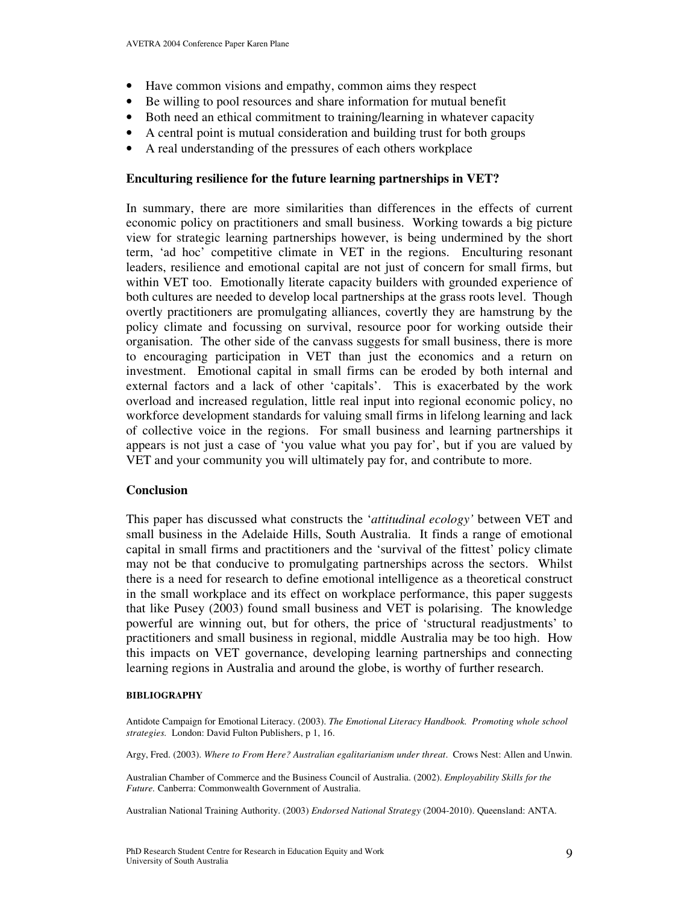- Have common visions and empathy, common aims they respect
- Be willing to pool resources and share information for mutual benefit
- Both need an ethical commitment to training/learning in whatever capacity
- A central point is mutual consideration and building trust for both groups
- A real understanding of the pressures of each others workplace

### **Enculturing resilience for the future learning partnerships in VET?**

In summary, there are more similarities than differences in the effects of current economic policy on practitioners and small business. Working towards a big picture view for strategic learning partnerships however, is being undermined by the short term, 'ad hoc' competitive climate in VET in the regions. Enculturing resonant leaders, resilience and emotional capital are not just of concern for small firms, but within VET too. Emotionally literate capacity builders with grounded experience of both cultures are needed to develop local partnerships at the grass roots level. Though overtly practitioners are promulgating alliances, covertly they are hamstrung by the policy climate and focussing on survival, resource poor for working outside their organisation. The other side of the canvass suggests for small business, there is more to encouraging participation in VET than just the economics and a return on investment. Emotional capital in small firms can be eroded by both internal and external factors and a lack of other 'capitals'. This is exacerbated by the work overload and increased regulation, little real input into regional economic policy, no workforce development standards for valuing small firms in lifelong learning and lack of collective voice in the regions. For small business and learning partnerships it appears is not just a case of 'you value what you pay for', but if you are valued by VET and your community you will ultimately pay for, and contribute to more.

#### **Conclusion**

This paper has discussed what constructs the '*attitudinal ecology'* between VET and small business in the Adelaide Hills, South Australia. It finds a range of emotional capital in small firms and practitioners and the 'survival of the fittest' policy climate may not be that conducive to promulgating partnerships across the sectors. Whilst there is a need for research to define emotional intelligence as a theoretical construct in the small workplace and its effect on workplace performance, this paper suggests that like Pusey (2003) found small business and VET is polarising. The knowledge powerful are winning out, but for others, the price of 'structural readjustments' to practitioners and small business in regional, middle Australia may be too high. How this impacts on VET governance, developing learning partnerships and connecting learning regions in Australia and around the globe, is worthy of further research.

#### **BIBLIOGRAPHY**

Antidote Campaign for Emotional Literacy. (2003). *The Emotional Literacy Handbook. Promoting whole school strategies.* London: David Fulton Publishers, p 1, 16.

Argy, Fred. (2003). *Where to From Here? Australian egalitarianism under threat*. Crows Nest: Allen and Unwin.

Australian Chamber of Commerce and the Business Council of Australia. (2002). *Employability Skills for the Future.* Canberra: Commonwealth Government of Australia.

Australian National Training Authority. (2003) *Endorsed National Strategy* (2004-2010). Queensland: ANTA.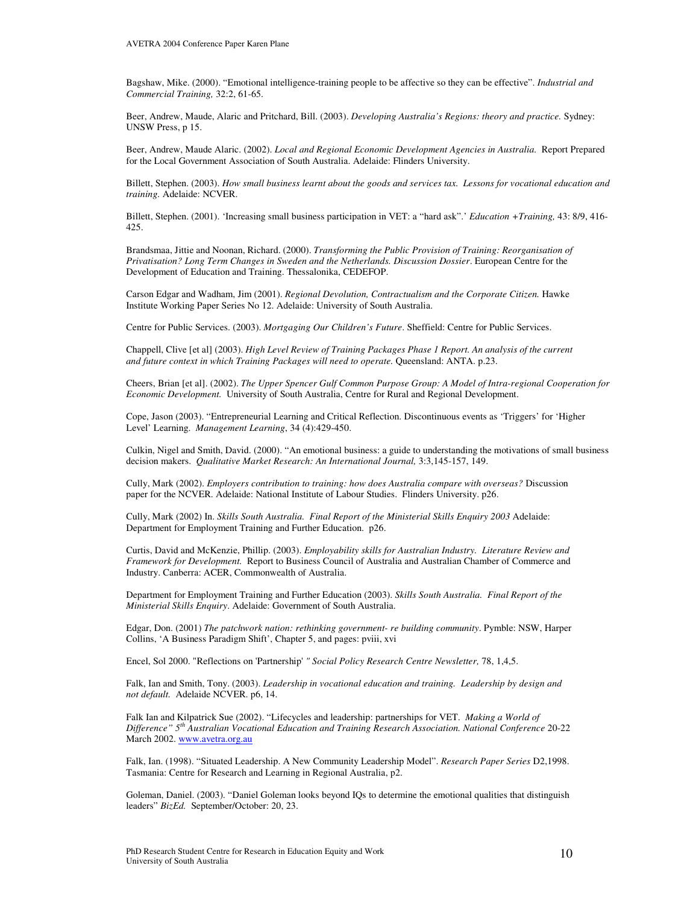Bagshaw, Mike. (2000). "Emotional intelligence-training people to be affective so they can be effective". *Industrial and Commercial Training,* 32:2, 61-65.

Beer, Andrew, Maude, Alaric and Pritchard, Bill. (2003). *Developing Australia's Regions: theory and practice.* Sydney: UNSW Press, p 15.

Beer, Andrew, Maude Alaric. (2002). *Local and Regional Economic Development Agencies in Australia.* Report Prepared for the Local Government Association of South Australia. Adelaide: Flinders University.

Billett, Stephen. (2003). How small business learnt about the goods and services tax. Lessons for vocational education and *training.* Adelaide: NCVER.

Billett, Stephen. (2001). 'Increasing small business participation in VET: a "hard ask".' *Education +Training,* 43: 8/9, 416- 425.

Brandsmaa, Jittie and Noonan, Richard. (2000). *Transforming the Public Provision of Training: Reorganisation of Privatisation? Long Term Changes in Sweden and the Netherlands. Discussion Dossier*. European Centre for the Development of Education and Training. Thessalonika, CEDEFOP.

Carson Edgar and Wadham, Jim (2001). *Regional Devolution, Contractualism and the Corporate Citizen.* Hawke Institute Working Paper Series No 12. Adelaide: University of South Australia.

Centre for Public Services. (2003). *Mortgaging Our Children's Future*. Sheffield: Centre for Public Services.

Chappell, Clive [et al] (2003). *High Level Review of Training Packages Phase 1 Report. An analysis of the current and future context in which Training Packages will need to operate.* Queensland: ANTA. p.23.

Cheers, Brian [et al]. (2002). *The Upper Spencer Gulf Common Purpose Group: A Model of Intra-regional Cooperation for Economic Development.* University of South Australia, Centre for Rural and Regional Development.

Cope, Jason (2003). "Entrepreneurial Learning and Critical Reflection. Discontinuous events as 'Triggers' for 'Higher Level' Learning. *Management Learning*, 34 (4):429-450.

Culkin, Nigel and Smith, David. (2000). "An emotional business: a guide to understanding the motivations of small business decision makers. *Qualitative Market Research: An International Journal,* 3:3,145-157, 149.

Cully, Mark (2002). *Employers contribution to training: how does Australia compare with overseas?* Discussion paper for the NCVER. Adelaide: National Institute of Labour Studies. Flinders University. p26.

Cully, Mark (2002) In. *Skills South Australia. Final Report of the Ministerial Skills Enquiry 2003* Adelaide: Department for Employment Training and Further Education. p26.

Curtis, David and McKenzie, Phillip. (2003). *Employability skills for Australian Industry. Literature Review and Framework for Development.* Report to Business Council of Australia and Australian Chamber of Commerce and Industry. Canberra: ACER, Commonwealth of Australia.

Department for Employment Training and Further Education (2003). *Skills South Australia. Final Report of the Ministerial Skills Enquiry*. Adelaide: Government of South Australia.

Edgar, Don. (2001) *The patchwork nation: rethinking government- re building community*. Pymble: NSW, Harper Collins, 'A Business Paradigm Shift', Chapter 5, and pages: pviii, xvi

Encel, Sol 2000. "Reflections on 'Partnership'*" Social Policy Research Centre Newsletter,* 78, 1,4,5.

Falk, Ian and Smith, Tony. (2003). *Leadership in vocational education and training. Leadership by design and not default.* Adelaide NCVER. p6, 14.

Falk Ian and Kilpatrick Sue (2002). "Lifecycles and leadership: partnerships for VET. *Making a World of Difference" 5 th Australian Vocational Education and Training Research Association. National Conference* 20-22 March 2002. www.avetra.org.au

Falk, Ian. (1998). "Situated Leadership. A New Community Leadership Model". *Research Paper Series* D2,1998. Tasmania: Centre for Research and Learning in Regional Australia, p2.

Goleman, Daniel. (2003). "Daniel Goleman looks beyond IQs to determine the emotional qualities that distinguish leaders" *BizEd.* September/October: 20, 23.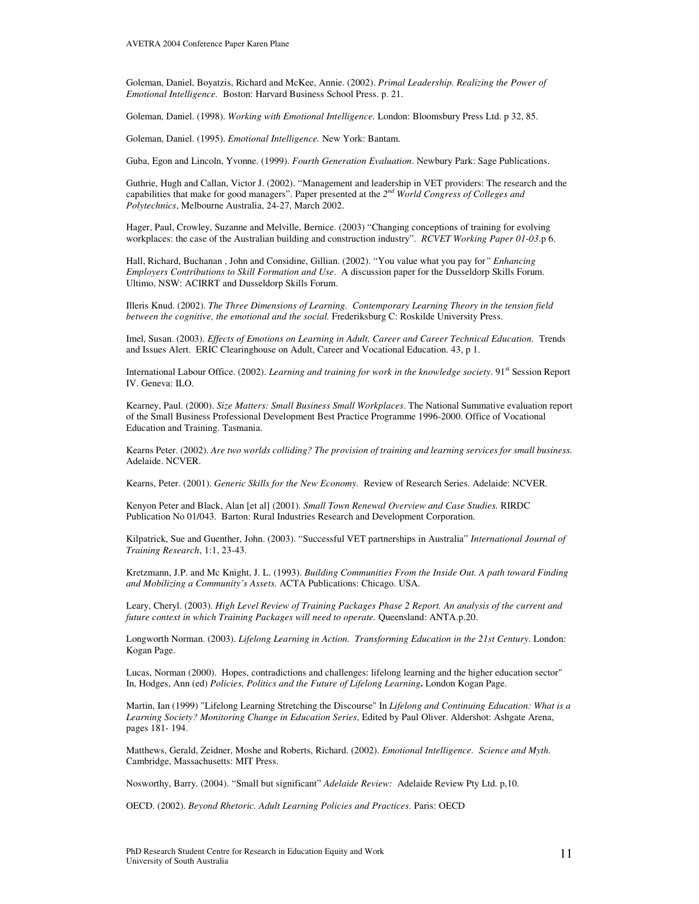Goleman, Daniel, Boyatzis, Richard and McKee, Annie. (2002). *Primal Leadership. Realizing the Power of Emotional Intelligence.* Boston: Harvard Business School Press. p. 21.

Goleman, Daniel. (1998). *Working with Emotional Intelligence.* London: Bloomsbury Press Ltd. p 32, 85.

Goleman, Daniel. (1995). *Emotional Intelligence.* New York: Bantam.

Guba, Egon and Lincoln, Yvonne. (1999). *Fourth Generation Evaluation*. Newbury Park: Sage Publications.

Guthrie, Hugh and Callan, Victor J. (2002). "Management and leadership in VET providers: The research and the capabilities that make for good managers". Paper presented at the *2 nd World Congress of Colleges and Polytechnics*, Melbourne Australia, 24-27, March 2002.

Hager, Paul, Crowley, Suzanne and Melville, Bernice. (2003) "Changing conceptions of training for evolving workplaces: the case of the Australian building and construction industry". *RCVET Working Paper 01-03*.p 6.

Hall, Richard, Buchanan , John and Considine, Gillian. (2002). "You value what you pay for*" Enhancing Employers Contributions to Skill Formation and Use*. A discussion paper for the Dusseldorp Skills Forum. Ultimo, NSW: ACIRRT and Dusseldorp Skills Forum.

Illeris Knud. (2002). *The Three Dimensions of Learning. Contemporary Learning Theory in the tension field between the cognitive, the emotional and the social.* Frederiksburg C: Roskilde University Press.

Imel, Susan. (2003). *Effects of Emotions on Learning in Adult, Career and Career Technical Education.* Trends and Issues Alert. ERIC Clearinghouse on Adult, Career and Vocational Education. 43, p 1.

International Labour Office. (2002). *Learning and training for work in the knowledge society*. 91 st Session Report IV. Geneva: ILO.

Kearney, Paul. (2000). *Size Matters: Small Business Small Workplaces*. The National Summative evaluation report of the Small Business Professional Development Best Practice Programme 1996-2000. Office of Vocational Education and Training. Tasmania.

Kearns Peter. (2002). *Are two worlds colliding? The provision of training and learning services for small business.* Adelaide. NCVER.

Kearns, Peter. (2001). *Generic Skills for the New Economy.* Review of Research Series. Adelaide: NCVER.

Kenyon Peter and Black, Alan [et al] (2001). *Small Town Renewal Overview and Case Studies.* RIRDC Publication No 01/043. Barton: Rural Industries Research and Development Corporation.

Kilpatrick, Sue and Guenther, John. (2003). "Successful VET partnerships in Australia" *International Journal of Training Research*, 1:1, 23-43.

Kretzmann, J.P. and Mc Knight, J. L. (1993). *Building Communities From the Inside Out. A path toward Finding and Mobilizing a Community's Assets.* ACTA Publications: Chicago. USA.

Leary, Cheryl. (2003). *High Level Review of Training Packages Phase 2 Report. An analysis of the current and future context in which Training Packages will need to operate.* Queensland: ANTA.p.20.

Longworth Norman. (2003). *Lifelong Learning in Action. Transforming Education in the 21st Century*. London: Kogan Page.

Lucas, Norman (2000). Hopes, contradictions and challenges: lifelong learning and the higher education sector" In, Hodges, Ann (ed) *Policies, Politics and the Future of Lifelong Learning***.** London Kogan Page.

Martin, Ian (1999) "Lifelong Learning Stretching the Discourse" In *Lifelong and Continuing Education: What is a Learning Society? Monitoring Change in Education Series*, Edited by Paul Oliver. Aldershot: Ashgate Arena, pages 181- 194.

Matthews, Gerald, Zeidner, Moshe and Roberts, Richard. (2002). *Emotional Intelligence. Science and Myth.* Cambridge, Massachusetts: MIT Press.

Nosworthy, Barry. (2004). "Small but significant" *Adelaide Review:* Adelaide Review Pty Ltd. p,10.

OECD. (2002). *Beyond Rhetoric. Adult Learning Policies and Practices.* Paris: OECD